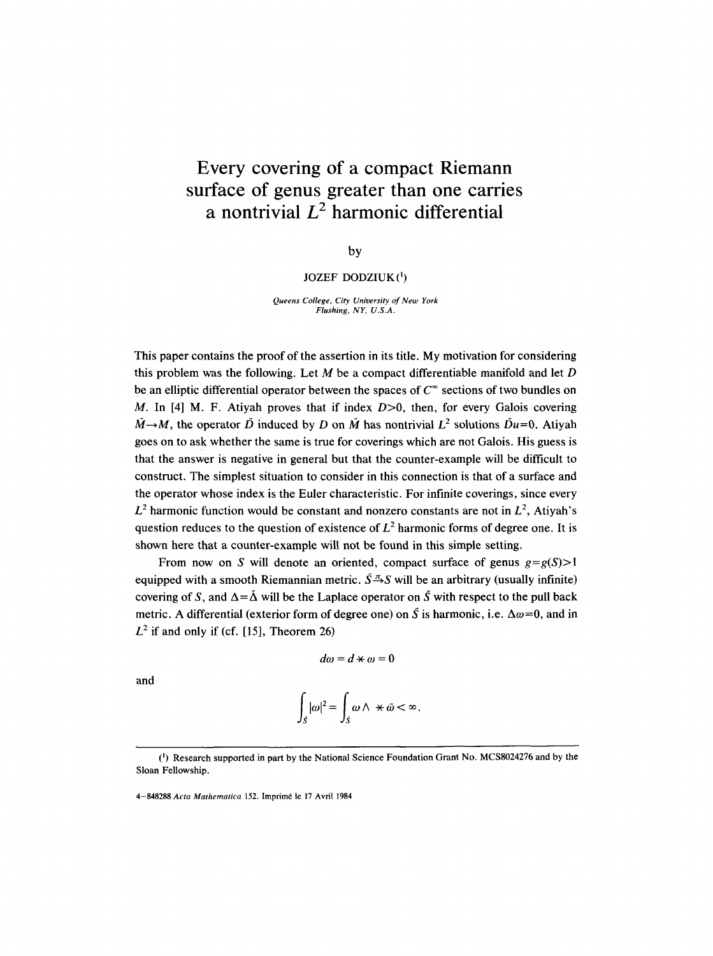# **Every covering of a compact Riemann surface of genus greater than one carries**  a nontrivial  $L^2$  harmonic differential

by

## JOZEF DODZIUK $(1)$

*Queens College, City University of New York Flushing, NY, U.S.A.* 

This paper contains the proof of the assertion in its title. My motivation for considering this problem was the following. Let  $M$  be a compact differentiable manifold and let  $D$ be an elliptic differential operator between the spaces of  $C^{\infty}$  sections of two bundles on M. In [4] M. F. Atiyah proves that if index  $D>0$ , then, for every Galois covering  $\tilde{M}\rightarrow M$ , the operator  $\tilde{D}$  induced by D on  $\tilde{M}$  has nontrivial  $L^2$  solutions  $\tilde{D}u=0$ . Atiyah goes on to ask whether the same is true for coverings which are not Galois. His guess is that the answer is negative in general but that the counter-example will be difficult to construct. The simplest situation to consider in this connection is that of a surface and the operator whose index is the Euler characteristic. For infinite coverings, since every  $L^2$  harmonic function would be constant and nonzero constants are not in  $L^2$ , Atiyah's question reduces to the question of existence of  $L<sup>2</sup>$  harmonic forms of degree one. It is shown here that a counter-example will not be found in this simple setting.

From now on S will denote an oriented, compact surface of genus *g=g(S)>l*  equipped with a smooth Riemannian metric.  $\bar{S} \bar{S} S$  will be an arbitrary (usually infinite) covering of S, and  $\Delta = \tilde{\Delta}$  will be the Laplace operator on S with respect to the pull back metric. A differential (exterior form of degree one) on  $\overline{S}$  is harmonic, i.e.  $\Delta \omega = 0$ , and in  $L^2$  if and only if (cf. [15], Theorem 26)

$$
d\omega=d\star\omega=0
$$

and

$$
\int_{\tilde{S}} |\omega|^2 = \int_{\tilde{S}} \omega \wedge \star \tilde{\omega} < \infty.
$$

<sup>(~)</sup> Research supported in part by the National Science Foundation Grant No. MCS8024276 and by the Sloan Fellowship.

<sup>4-848288</sup> *Acta Mathematica* 152. Imprim6 le 17 Avril 1984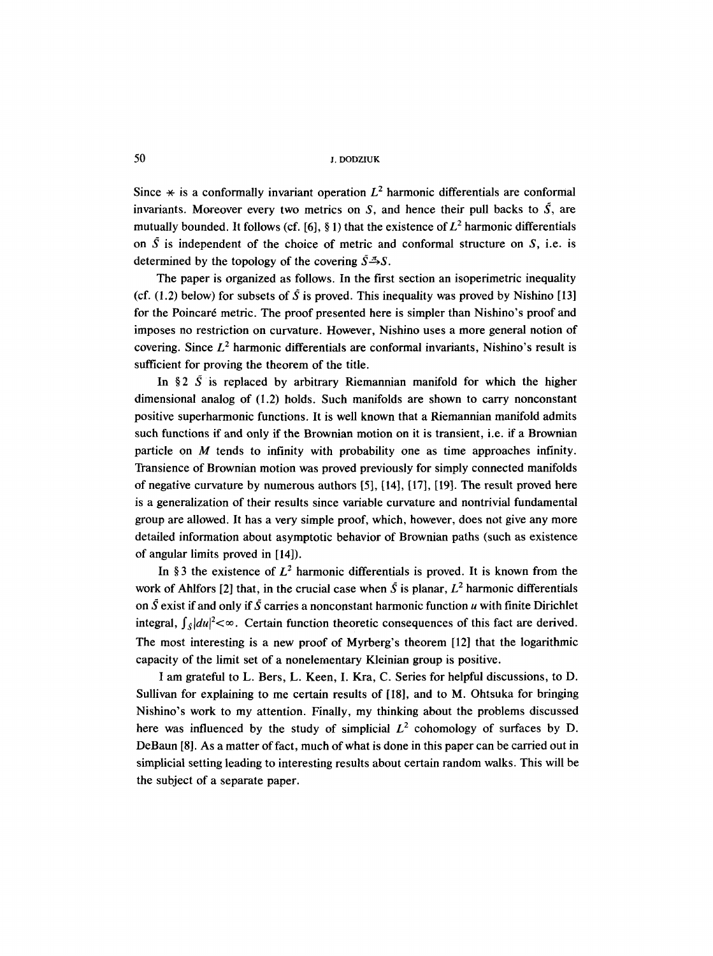50 J. DODZIUK

Since  $*$  is a conformally invariant operation  $L^2$  harmonic differentials are conformal invariants. Moreover every two metrics on S, and hence their pull backs to  $\tilde{S}$ , are mutually bounded. It follows (cf. [6], § 1) that the existence of  $L^2$  harmonic differentials on  $\overline{S}$  is independent of the choice of metric and conformal structure on  $S$ , i.e. is determined by the topology of the covering  $\tilde{S} \to S$ .

The paper is organized as follows. In the first section an isoperimetric inequality (cf. (1.2) below) for subsets of  $\bar{S}$  is proved. This inequality was proved by Nishino [13] for the Poincar6 metric. The proof presented here is simpler than Nishino's proof and imposes no restriction on curvature. However, Nishino uses a more general notion of covering. Since  $L^2$  harmonic differentials are conformal invariants, Nishino's result is sufficient for proving the theorem of the title.

In §2  $\tilde{S}$  is replaced by arbitrary Riemannian manifold for which the higher dimensional analog of (1.2) holds. Such manifolds are shown to carry nonconstant positive superharmonic functions. It is well known that a Riemannian manifold admits such functions if and only if the Brownian motion on it is transient, i.e. if a Brownian particle on M tends to infinity with probability one as time approaches infinity. Transience of Brownian motion was proved previously for simply connected manifolds of negative curvature by numerous authors [5], [14], [17], [19]. The result proved here is a generalization of their results since variable curvature and nontrivial fundamental group are allowed. It has a very simple proof, which, however, does not give any more detailed information about asymptotic behavior of Brownian paths (such as existence of angular limits proved in [14]).

In §3 the existence of  $L^2$  harmonic differentials is proved. It is known from the work of Ahlfors [2] that, in the crucial case when  $\tilde{S}$  is planar,  $L^2$  harmonic differentials on  $\tilde{S}$  exist if and only if  $\tilde{S}$  carries a nonconstant harmonic function u with finite Dirichlet integral,  $\int_{\mathcal{S}} |du|^2 < \infty$ . Certain function theoretic consequences of this fact are derived. The most interesting is a new proof of Myrberg's theorem [12] that the logarithmic capacity of the limit set of a nonelernentary Kleinian group is positive.

I am grateful to L. Bers, L. Keen, I. Kra, C. Series for helpful discussions, to D. Sullivan for explaining to me certain results of [18], and to M. Ohtsuka for bringing Nishino's work to my attention. Finally, my thinking about the problems discussed here was influenced by the study of simplicial  $L^2$  cohomology of surfaces by D. DeBaun [8]. As a matter of fact, much of what is done in this paper can be carried out in simplicial setting leading to interesting results about certain random walks. This will be the subject of a separate paper.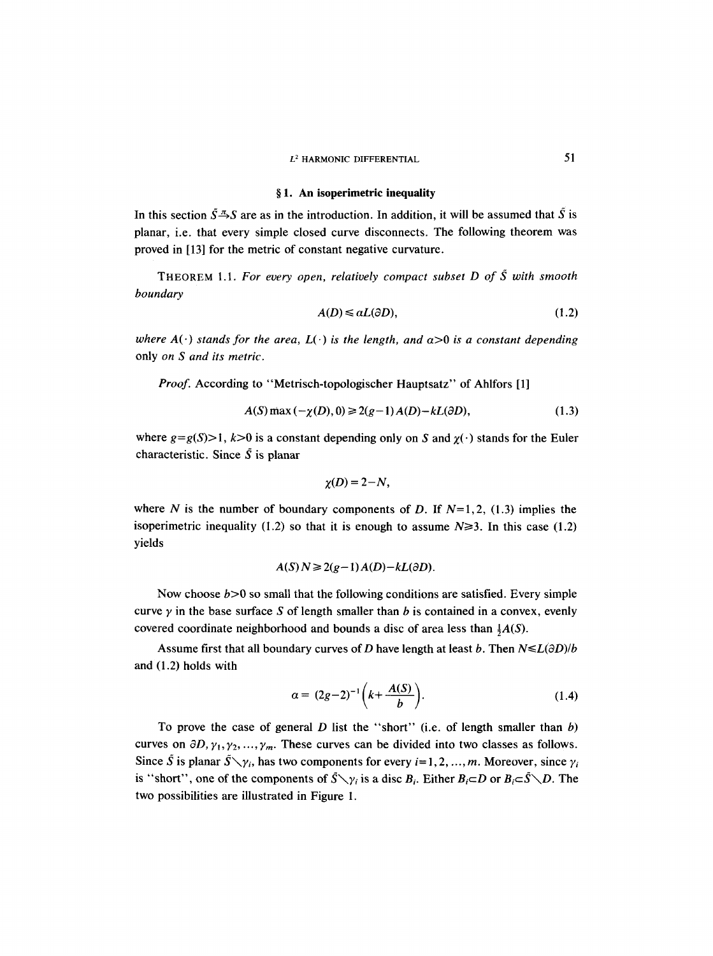### **w 1. An isoperimetric inequality**

In this section  $\tilde{S} \to S$  are as in the introduction. In addition, it will be assumed that  $\tilde{S}$  is planar, i.e. that every simple closed curve disconnects. The following theorem was proved in [13] for the metric of constant negative curvature.

THEOREM 1.1. *For every open, relatively compact subset D of S with smooth boundary* 

$$
A(D) \leq a(\partial D),\tag{1.2}
$$

*where*  $A(\cdot)$  *stands for the area,*  $L(\cdot)$  *is the length, and*  $\alpha > 0$  *is a constant depending* only *on S and its metric.* 

*Proof.* According to "Metrisch-topologischer Hauptsatz" of Ahlfors [1]

$$
A(S) \max(-\chi(D), 0) \ge 2(g-1)A(D) - kL(\partial D), \tag{1.3}
$$

where  $g=g(S)$  is a constant depending only on S and  $\chi(\cdot)$  stands for the Euler characteristic. Since  $\tilde{S}$  is planar

$$
\chi(D)=2-N,
$$

where N is the number of boundary components of D. If  $N=1, 2, (1.3)$  implies the isoperimetric inequality (1.2) so that it is enough to assume  $N\geq 3$ . In this case (1.2) yields

$$
A(S) N \geq 2(g-1) A(D) - kL(\partial D).
$$

Now choose  $b > 0$  so small that the following conditions are satisfied. Every simple curve  $\gamma$  in the base surface S of length smaller than b is contained in a convex, evenly covered coordinate neighborhood and bounds a disc of area less than  $\frac{1}{2}A(S)$ .

Assume first that all boundary curves of D have length at least b. Then  $N \le L(\partial D)/b$ and (1.2) holds with

$$
\alpha = (2g-2)^{-1} \left( k + \frac{A(S)}{b} \right). \tag{1.4}
$$

To prove the case of general  $D$  list the "short" (i.e. of length smaller than  $b$ ) curves on  $\partial D, \gamma_1, \gamma_2, ..., \gamma_m$ . These curves can be divided into two classes as follows. Since  $\tilde{S}$  is planar  $\tilde{S}\setminus\gamma_i$ , has two components for every  $i=1,2,...,m$ . Moreover, since  $\gamma_i$ is "short", one of the components of  $\bar{S}\setminus\gamma_i$  is a disc  $B_i$ . Either  $B_i \subset D$  or  $B_i \subset \bar{S}\setminus D$ . The two possibilities are illustrated in Figure 1.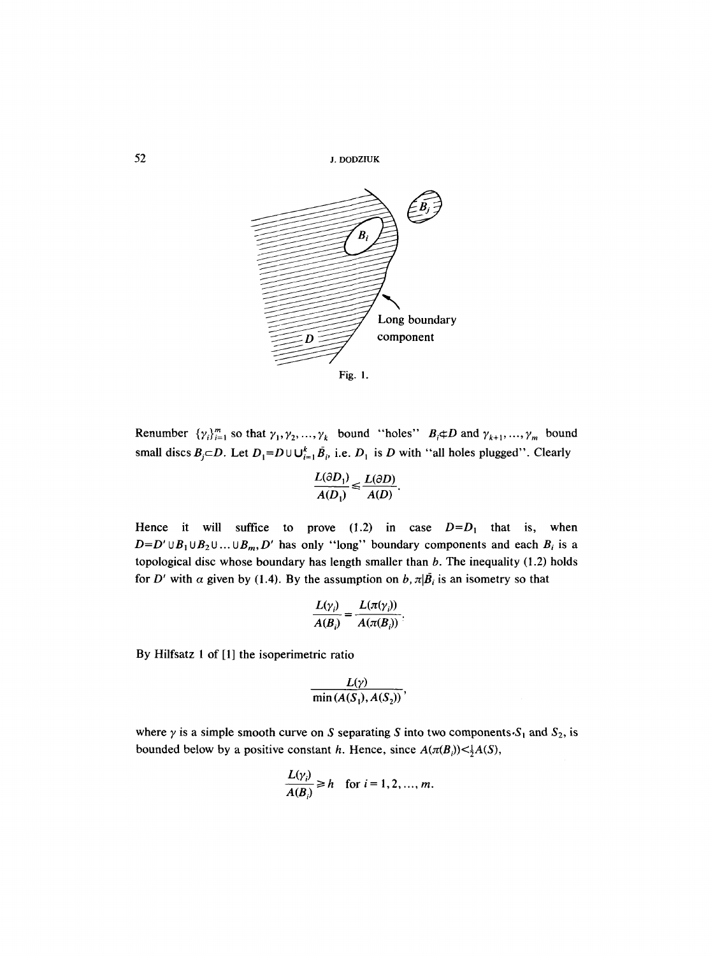52 J. DODZIUK



Renumber  $\{\gamma_i\}_{i=1}^m$  so that  $\gamma_1, \gamma_2, ..., \gamma_k$  bound "holes"  $B_i \notin D$  and  $\gamma_{k+1}, ..., \gamma_m$  bound small discs  $B_j \subset D$ . Let  $D_1 = D \cup \bigcup_{i=1}^k \bar{B_i}$ , i.e.  $D_1$  is D with "all holes plugged". Clearly

$$
\frac{L(\partial D_1)}{A(D_1)} \leqslant \frac{L(\partial D)}{A(D)}.
$$

Hence it will suffice to prove  $(1.2)$  in case  $D=D_1$  that is, when  $D=D' \cup B_1 \cup B_2 \cup ... \cup B_m, D'$  has only "long" boundary components and each  $B_i$  is a topological disc whose boundary has length smaller than  $b$ . The inequality (1.2) holds for D' with  $\alpha$  given by (1.4). By the assumption on  $b$ ,  $\pi|\bar{B}_i$  is an isometry so that

$$
\frac{L(\gamma_i)}{A(B_i)} = \frac{L(\pi(\gamma_i))}{A(\pi(B_i))}.
$$

By Hilfsatz 1 of [1] the isoperimetric ratio

$$
\frac{L(\gamma)}{\min(A(S_1),A(S_2))},
$$

where  $\gamma$  is a simple smooth curve on S separating S into two components  $S_1$  and  $S_2$ , is bounded below by a positive constant h. Hence, since  $A(\pi(B_i)) < \frac{1}{2}A(S)$ ,

$$
\frac{L(\gamma_i)}{A(B_i)} \geq h \quad \text{for } i = 1, 2, ..., m.
$$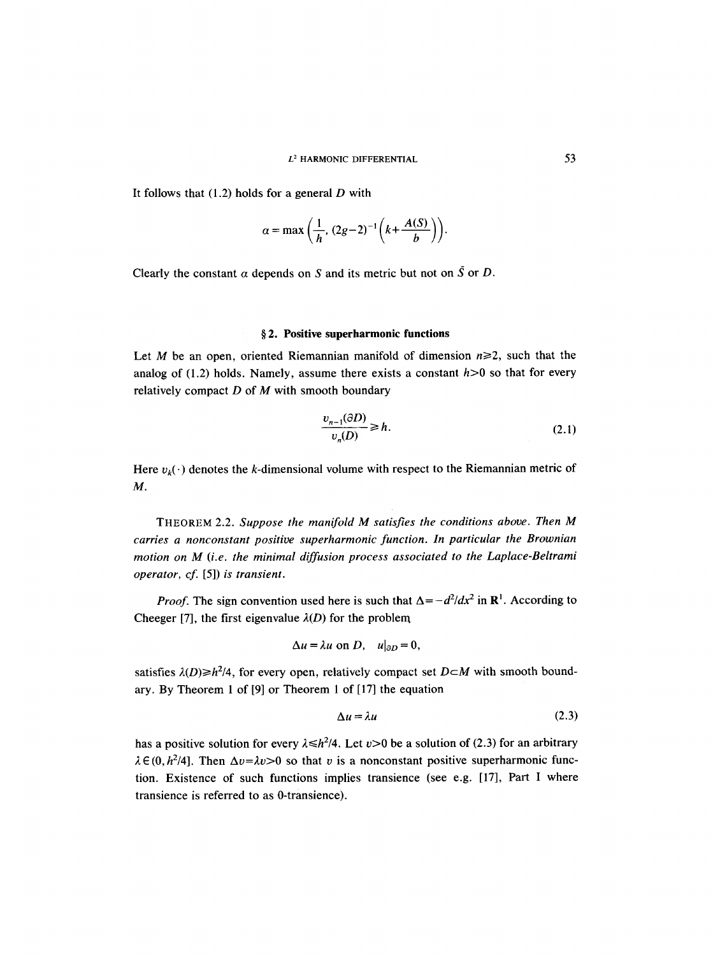It follows that  $(1.2)$  holds for a general D with

$$
\alpha = \max\left(\frac{1}{h}, (2g-2)^{-1}\left(k + \frac{A(S)}{b}\right)\right).
$$

Clearly the constant  $\alpha$  depends on S and its metric but not on  $\tilde{S}$  or D.

#### **w 2. Positive superharmonic functions**

Let M be an open, oriented Riemannian manifold of dimension  $n\geq 2$ , such that the analog of  $(1.2)$  holds. Namely, assume there exists a constant  $h > 0$  so that for every relatively compact  $D$  of  $M$  with smooth boundary

$$
\frac{v_{n-1}(\partial D)}{v_n(D)} \ge h. \tag{2.1}
$$

Here  $v_k(\cdot)$  denotes the k-dimensional volume with respect to the Riemannian metric of M.

THEOREM 2.2. *Suppose the manifold M satisfies the conditions above. Then M carries a nonconstant positive superharmonic function. In particular the Brownian motion on M (i.e. the minimal diffusion process associated to the Laplace-Beltrami operator, cf.* [5]) *is transient.* 

*Proof.* The sign convention used here is such that  $\Delta = -d^2/dx^2$  in  $\mathbb{R}^1$ . According to Cheeger [7], the first eigenvalue  $\lambda(D)$  for the problem

$$
\Delta u = \lambda u \text{ on } D, \quad u|_{\partial D} = 0,
$$

satisfies  $\lambda(D) \geq h^2/4$ , for every open, relatively compact set  $D \subset M$  with smooth boundary. By Theorem 1 of [9] or Theorem 1 of [17] the equation

$$
\Delta u = \lambda u \tag{2.3}
$$

has a positive solution for every  $\lambda \le h^2/4$ . Let  $v>0$  be a solution of (2.3) for an arbitrary  $\lambda \in (0, h^2/4]$ . Then  $\Delta v = \lambda v > 0$  so that v is a nonconstant positive superharmonic function. Existence of such functions implies transience (see e.g. [17], Part I where transience is referred to as 0-transience).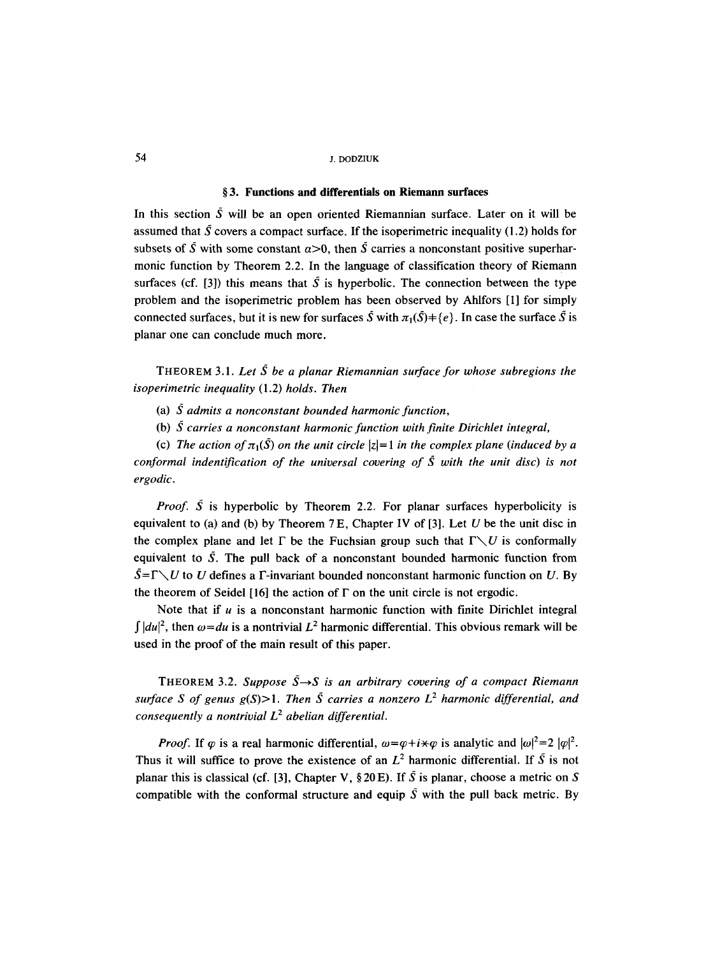# 54 J. DODZIUK

# **w 3. Functions and differentials on Riemann surfaces**

In this section  $\overline{S}$  will be an open oriented Riemannian surface. Later on it will be assumed that  $\overline{S}$  covers a compact surface. If the isoperimetric inequality (1.2) holds for subsets of  $\tilde{S}$  with some constant  $\alpha > 0$ , then  $\tilde{S}$  carries a nonconstant positive superharmonic function by Theorem 2.2. In the language of classification theory of Riemann surfaces (cf. [3]) this means that  $\tilde{S}$  is hyperbolic. The connection between the type problem and the isoperimetric problem has been observed by Ahlfors [I] for simply connected surfaces, but it is new for surfaces  $\tilde{S}$  with  $\pi_1(\tilde{S})=\{e\}$ . In case the surface  $\tilde{S}$  is planar one can conclude much more.

THEOREM 3.1. *Let S be a planar Riemannian surface for whose subregions the isoperimetric inequality* (1.2) *holds. Then* 

(a) S *admits a nonconstant bounded harmonic function,* 

(b) S *carries a nonconstant harmonic function with finite Dirichlet integral,* 

(c) The action of  $\pi_1(\tilde{S})$  on the unit circle  $|z|=1$  in the complex plane (induced by a *conformal indentification of the universal covering of S with the unit disc) is not ergodic.* 

*Proof.*  $\tilde{S}$  is hyperbolic by Theorem 2.2. For planar surfaces hyperbolicity is equivalent to (a) and (b) by Theorem  $7E$ , Chapter IV of [3]. Let U be the unit disc in the complex plane and let  $\Gamma$  be the Fuchsian group such that  $\Gamma \setminus U$  is conformally equivalent to  $\tilde{S}$ . The pull back of a nonconstant bounded harmonic function from  $\overline{S} = \Gamma \setminus U$  to U defines a  $\Gamma$ -invariant bounded nonconstant harmonic function on U. By the theorem of Seidel [16] the action of  $\Gamma$  on the unit circle is not ergodic.

Note that if  $u$  is a nonconstant harmonic function with finite Dirichlet integral *f*  $|du|^2$ , then  $\omega = du$  is a nontrivial  $L^2$  harmonic differential. This obvious remark will be used in the proof of the main result of this paper.

THEOREM 3.2. Suppose  $\bar{S} \rightarrow S$  is an arbitrary covering of a compact Riemann *surface S of genus*  $g(S) > 1$ *. Then S carries a nonzero L<sup>2</sup> harmonic differential, and consequently a nontrivial*  $L^2$  *abelian differential.* 

*Proof.* If  $\varphi$  is a real harmonic differential,  $\omega = \varphi + i \star \varphi$  is analytic and  $|\omega|^2 = 2 |\varphi|^2$ . Thus it will suffice to prove the existence of an  $L^2$  harmonic differential. If  $\tilde{S}$  is not planar this is classical (cf. [3], Chapter V,  $\S 20 E$ ). If S is planar, choose a metric on S compatible with the conformal structure and equip  $\overline{S}$  with the pull back metric. By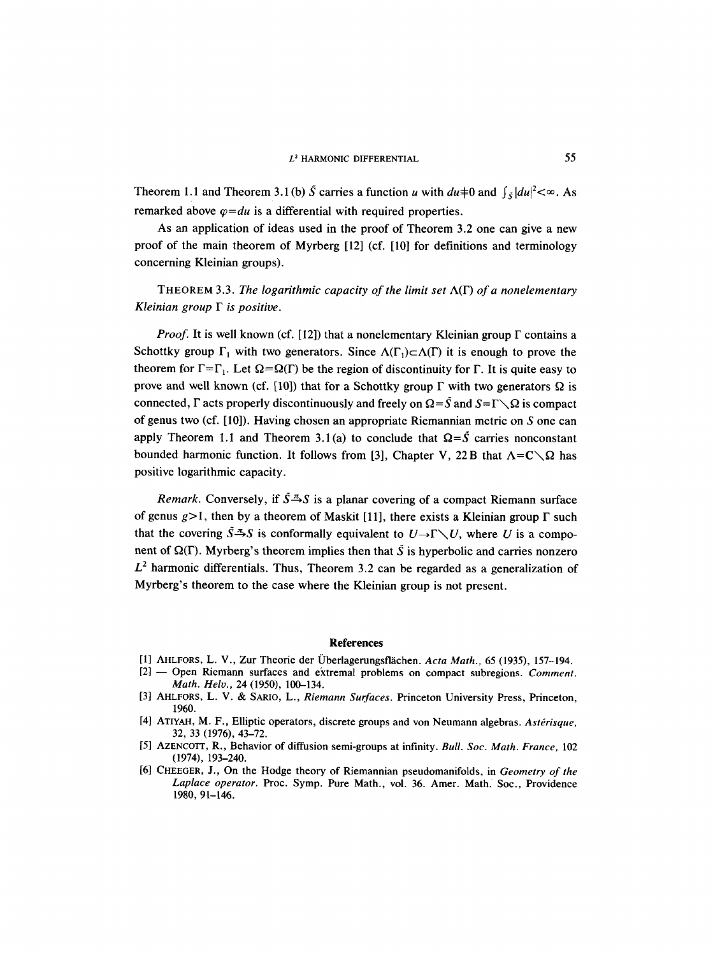## $L^2$  HARMONIC DIFFERENTIAL 55

Theorem 1.1 and Theorem 3.1(b)  $\tilde{S}$  carries a function u with  $du \neq 0$  and  $\int_{\tilde{S}} |du|^2 < \infty$ . As remarked above  $\varphi = du$  is a differential with required properties.

As an application of ideas used in the proof of Theorem 3.2 one can give a new proof of the main theorem of Myrberg [12] (cf. [10] for definitions and terminology concerning Kleinian groups).

THEOREM 3.3. *The logarithmic capacity of the limit set* A(F) *of a nonelementary Kleinian group F is positive.* 

*Proof.* It is well known (cf. [12]) that a nonelementary Kleinian group  $\Gamma$  contains a Schottky group  $\Gamma_1$  with two generators. Since  $\Lambda(\Gamma_1) \subset \Lambda(\Gamma)$  it is enough to prove the theorem for  $\Gamma = \Gamma_1$ . Let  $\Omega = \Omega(\Gamma)$  be the region of discontinuity for  $\Gamma$ . It is quite easy to prove and well known (cf. [10]) that for a Schottky group  $\Gamma$  with two generators  $\Omega$  is connected,  $\Gamma$  acts properly discontinuously and freely on  $\Omega = \bar{S}$  and  $S = \Gamma \setminus \Omega$  is compact of genus two (cf. [10]). Having chosen an appropriate Riemannian metric on S one can apply Theorem 1.1 and Theorem 3.1(a) to conclude that  $\Omega = \tilde{S}$  carries nonconstant bounded harmonic function. It follows from [3], Chapter V, 22 B that  $\Lambda = C \setminus \Omega$  has positive logarithmic capacity.

*Remark.* Conversely, if  $\tilde{S} \to S$  is a planar covering of a compact Riemann surface of genus  $g>1$ , then by a theorem of Maskit [11], there exists a Kleinian group  $\Gamma$  such that the covering  $\tilde{S} \to S$  is conformally equivalent to  $U \to \Gamma \setminus U$ , where U is a component of  $\Omega(\Gamma)$ . Myrberg's theorem implies then that  $\tilde{S}$  is hyperbolic and carries nonzero  $L<sup>2</sup>$  harmonic differentials. Thus, Theorem 3.2 can be regarded as a generalization of Myrberg's theorem to the case where the Kleinian group is not present.

#### **References**

- [1] AHLFORS, L. V., Zur Theorie der Überlagerungsflächen. *Acta Math.*, 65 (1935), 157-194.
- [2] -- Open Riemann surfaces and extremal problems on compact subregions. *Comment. Math. Helv.,* 24 (1950), 100-134.
- [3] AHLFORS, L. V. & SARIO, L., *Riemann Surfaces*. Princeton University Press, Princeton, 1960.
- [4] ATIYAH, M. F., Elliptic operators, discrete groups and von Neumann algebras. Astérisque, 32, 33 (1976), 43-72.
- [5] AZENCOTT, R., Behavior of diffusion semi-groups at infinity. *Bull. Soc. Math. France,* 102 (1974), 193-240.
- [6] CHEEGER, J., On the Hodge theory of Riemannian pseudomanifolds, in *Geometry of the Laplace operator.* Proc. Symp. Pure Math., vol. 36. Amer. Math. Soc., Providence 1980, 91-146.